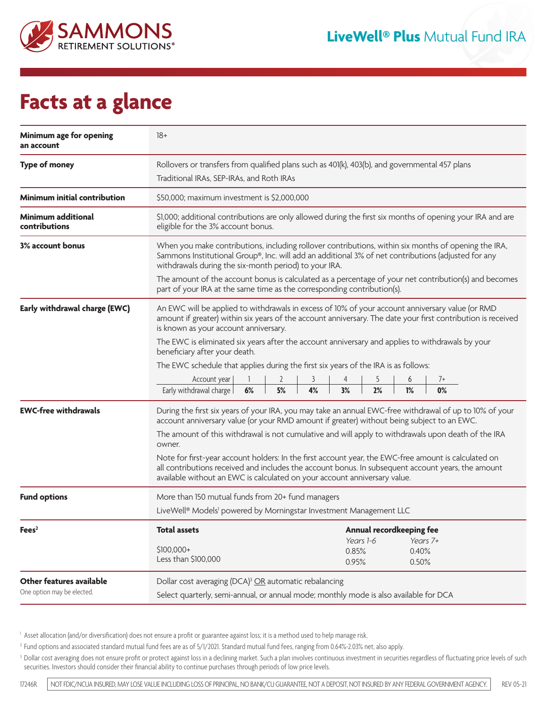

## **Facts at a glance**

| Minimum age for opening<br>an account      | $18+$                                                                                                                                                                                                                                                                                   |
|--------------------------------------------|-----------------------------------------------------------------------------------------------------------------------------------------------------------------------------------------------------------------------------------------------------------------------------------------|
| <b>Type of money</b>                       | Rollovers or transfers from qualified plans such as 401(k), 403(b), and governmental 457 plans                                                                                                                                                                                          |
|                                            | Traditional IRAs, SEP-IRAs, and Roth IRAs                                                                                                                                                                                                                                               |
| <b>Minimum initial contribution</b>        | \$50,000; maximum investment is \$2,000,000                                                                                                                                                                                                                                             |
| <b>Minimum additional</b><br>contributions | \$1,000; additional contributions are only allowed during the first six months of opening your IRA and are<br>eligible for the 3% account bonus.                                                                                                                                        |
| <b>3% account bonus</b>                    | When you make contributions, including rollover contributions, within six months of opening the IRA,<br>Sammons Institutional Group®, Inc. will add an additional 3% of net contributions (adjusted for any<br>withdrawals during the six-month period) to your IRA.                    |
|                                            | The amount of the account bonus is calculated as a percentage of your net contribution(s) and becomes<br>part of your IRA at the same time as the corresponding contribution(s).                                                                                                        |
| Early withdrawal charge (EWC)              | An EWC will be applied to withdrawals in excess of 10% of your account anniversary value (or RMD<br>amount if greater) within six years of the account anniversary. The date your first contribution is received<br>is known as your account anniversary.                               |
|                                            | The EWC is eliminated six years after the account anniversary and applies to withdrawals by your<br>beneficiary after your death.                                                                                                                                                       |
|                                            | The EWC schedule that applies during the first six years of the IRA is as follows:                                                                                                                                                                                                      |
|                                            | 3<br>Account year<br>4<br>5<br>6<br>2<br>7+                                                                                                                                                                                                                                             |
|                                            | Early withdrawal charge I<br>5%<br>4%<br>3%<br>2%<br>1%<br>0%<br>6%                                                                                                                                                                                                                     |
| <b>EWC-free withdrawals</b>                | During the first six years of your IRA, you may take an annual EWC-free withdrawal of up to 10% of your<br>account anniversary value (or your RMD amount if greater) without being subject to an EWC.                                                                                   |
|                                            | The amount of this withdrawal is not cumulative and will apply to withdrawals upon death of the IRA<br>owner.                                                                                                                                                                           |
|                                            | Note for first-year account holders: In the first account year, the EWC-free amount is calculated on<br>all contributions received and includes the account bonus. In subsequent account years, the amount<br>available without an EWC is calculated on your account anniversary value. |
| <b>Fund options</b>                        | More than 150 mutual funds from 20+ fund managers                                                                                                                                                                                                                                       |
|                                            | LiveWell® Models <sup>1</sup> powered by Morningstar Investment Management LLC                                                                                                                                                                                                          |
| Fees <sup>2</sup>                          | <b>Total assets</b><br>Annual recordkeeping fee                                                                                                                                                                                                                                         |
|                                            | Years 1-6<br>Years 7+<br>\$100,000+<br>0.85%<br>0.40%                                                                                                                                                                                                                                   |
|                                            | Less than \$100,000<br>0.95%<br>0.50%                                                                                                                                                                                                                                                   |
| <b>Other features available</b>            | Dollar cost averaging (DCA) <sup>3</sup> OR automatic rebalancing                                                                                                                                                                                                                       |
| One option may be elected.                 | Select quarterly, semi-annual, or annual mode; monthly mode is also available for DCA                                                                                                                                                                                                   |

<sup>1</sup> Asset allocation (and/or diversification) does not ensure a profit or guarantee against loss; it is a method used to help manage risk.

<sup>2</sup> Fund options and associated standard mutual fund fees are as of 5/1/2021. Standard mutual fund fees, ranging from 0.64%-2.03% net, also apply.

<sup>3</sup> Dollar cost averaging does not ensure profit or protect against loss in a declining market. Such a plan involves continuous investment in securities regardless of fluctuating price levels of such securities. Investors should consider their financial ability to continue purchases through periods of low price levels.